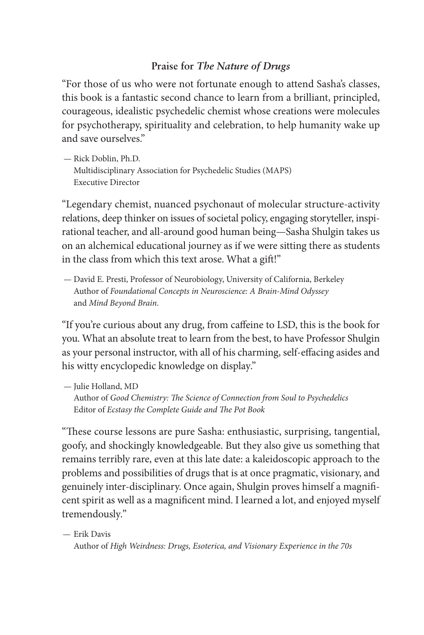### **Praise for** *The Nature of Drugs*

"For those of us who were not fortunate enough to attend Sasha's classes, this book is a fantastic second chance to learn from a brilliant, principled, courageous, idealistic psychedelic chemist whose creations were molecules for psychotherapy, spirituality and celebration, to help humanity wake up and save ourselves."

— Rick Doblin, Ph.D. Multidisciplinary Association for Psychedelic Studies (MAPS) Executive Director

"Legendary chemist, nuanced psychonaut of molecular structure-activity relations, deep thinker on issues of societal policy, engaging storyteller, inspirational teacher, and all-around good human being—Sasha Shulgin takes us on an alchemical educational journey as if we were sitting there as students in the class from which this text arose. What a gift!"

— David E. Presti, Professor of Neurobiology, University of California, Berkeley Author of *Foundational Concepts in Neuroscience: A Brain-Mind Odyssey* and *Mind Beyond Brain*.

"If you're curious about any drug, from caffeine to LSD, this is the book for you. What an absolute treat to learn from the best, to have Professor Shulgin as your personal instructor, with all of his charming, self-effacing asides and his witty encyclopedic knowledge on display."

— Julie Holland, MD Author of *Good Chemistry: The Science of Connection from Soul to Psychedelics* Editor of *Ecstasy the Complete Guide and The Pot Book* 

"These course lessons are pure Sasha: enthusiastic, surprising, tangential, goofy, and shockingly knowledgeable. But they also give us something that remains terribly rare, even at this late date: a kaleidoscopic approach to the problems and possibilities of drugs that is at once pragmatic, visionary, and genuinely inter-disciplinary. Once again, Shulgin proves himself a magnificent spirit as well as a magnificent mind. I learned a lot, and enjoyed myself tremendously."

— Erik Davis

Author of *High Weirdness: Drugs, Esoterica, and Visionary Experience in the 70s*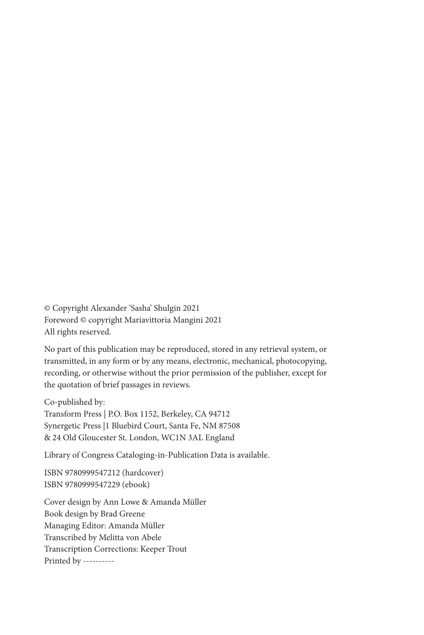© Copyright Alexander 'Sasha' Shulgin 2021 Foreword © copyright Mariavittoria Mangini 2021 All rights reserved.

No part of this publication may be reproduced, stored in any retrieval system, or transmitted, in any form or by any means, electronic, mechanical, photocopying, recording, or otherwise without the prior permission of the publisher, except for the quotation of brief passages in reviews.

Co-published by: Transform Press | P.O. Box 1152, Berkeley, CA 94712 Synergetic Press |1 Bluebird Court, Santa Fe, NM 87508 & 24 Old Gloucester St. London, WC1N 3AL England

Library of Congress Cataloging-in-Publication Data is available.

ISBN 9780999547212 (hardcover) ISBN 9780999547229 (ebook)

Cover design by Ann Lowe & Amanda Müller Book design by Brad Greene Managing Editor: Amanda Müller Transcribed by Melitta von Abele Transcription Corrections: Keeper Trout Printed by ----------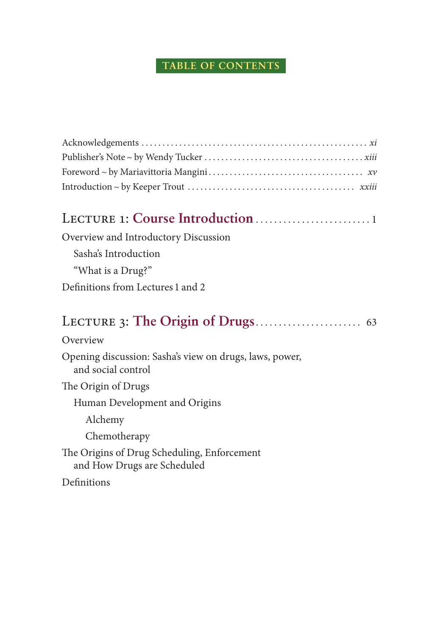### **TABLE OF CONTENTS**

|--|--|

Overview and Introductory Discussion Sasha's Introduction "What is a Drug?" Definitions from Lectures 1 and 2

## Lecture 3: **The Origin of Drugs**....................... 63

Overview Opening discussion: Sasha's view on drugs, laws, power, and social control The Origin of Drugs Human Development and Origins Alchemy Chemotherapy The Origins of Drug Scheduling, Enforcement and How Drugs are Scheduled Definitions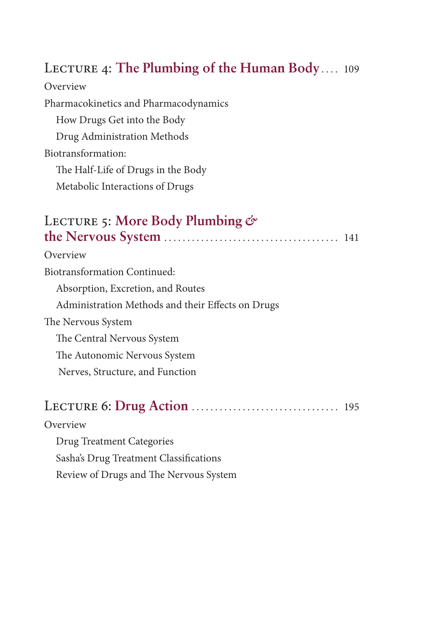# LECTURE 4: The Plumbing of the Human Body .... 109

Overview Pharmacokinetics and Pharmacodynamics How Drugs Get into the Body Drug Administration Methods Biotransformation: The Half-Life of Drugs in the Body Metabolic Interactions of Drugs

## Lecture 5: **More Body Plumbing** *&*  **the Nervous System** ...................................... 141

| Overview                                          |
|---------------------------------------------------|
| Biotransformation Continued:                      |
| Absorption, Excretion, and Routes                 |
| Administration Methods and their Effects on Drugs |
| The Nervous System                                |
| The Central Nervous System                        |
| The Autonomic Nervous System                      |
| Nerves, Structure, and Function                   |
|                                                   |

### Lecture 6: **Drug Action** ................................ 195

Overview Drug Treatment Categories Sasha's Drug Treatment Classifications Review of Drugs and The Nervous System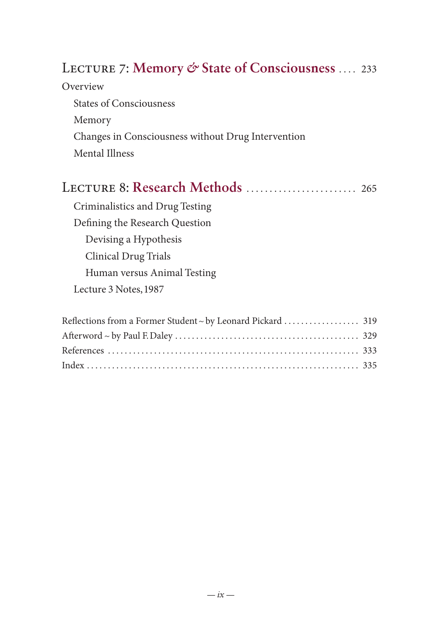# LECTURE 7: Memory & State of Consciousness .... 233

Overview **States of Consciousness** Memory Changes in Consciousness without Drug Intervention Mental Illness

## LECTURE 8: Research Methods ............................. 265

Criminalistics and Drug Testing Defining the Research Question Devising a Hypothesis **Clinical Drug Trials** Human versus Animal Testing Lecture 3 Notes, 1987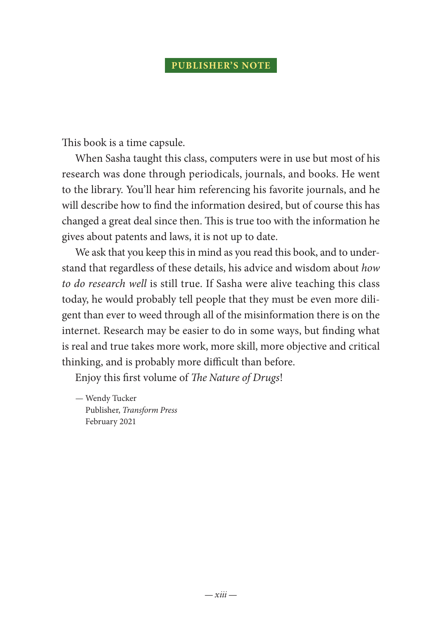#### **PUBLISHER'S NOTE**

This book is a time capsule.

When Sasha taught this class, computers were in use but most of his research was done through periodicals, journals, and books. He went to the library. You'll hear him referencing his favorite journals, and he will describe how to find the information desired, but of course this has changed a great deal since then. This is true too with the information he gives about patents and laws, it is not up to date.

We ask that you keep this in mind as you read this book, and to understand that regardless of these details, his advice and wisdom about *how to do research well* is still true. If Sasha were alive teaching this class today, he would probably tell people that they must be even more diligent than ever to weed through all of the misinformation there is on the internet. Research may be easier to do in some ways, but finding what is real and true takes more work, more skill, more objective and critical thinking, and is probably more difficult than before.

Enjoy this first volume of The Nature of Drugs!

— Wendy Tucker Publisher, *Transform Press* February 2021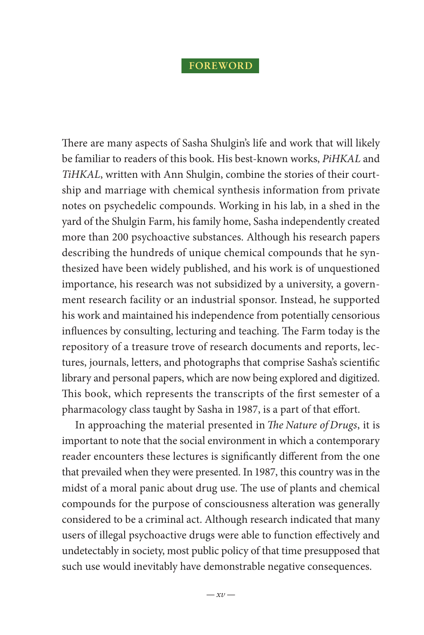### **FOREWORD**

There are many aspects of Sasha Shulgin's life and work that will likely be familiar to readers of this book. His best-known works, *PiHKAL* and *TiHKAL*, written with Ann Shulgin, combine the stories of their courtship and marriage with chemical synthesis information from private notes on psychedelic compounds. Working in his lab, in a shed in the yard of the Shulgin Farm, his family home, Sasha independently created more than 200 psychoactive substances. Although his research papers describing the hundreds of unique chemical compounds that he synthesized have been widely published, and his work is of unquestioned importance, his research was not subsidized by a university, a government research facility or an industrial sponsor. Instead, he supported his work and maintained his independence from potentially censorious influences by consulting, lecturing and teaching. The Farm today is the repository of a treasure trove of research documents and reports, lectures, journals, letters, and photographs that comprise Sasha's scientific library and personal papers, which are now being explored and digitized. This book, which represents the transcripts of the first semester of a pharmacology class taught by Sasha in 1987, is a part of that effort.

In approaching the material presented in *The Nature of Drugs*, it is important to note that the social environment in which a contemporary reader encounters these lectures is significantly different from the one that prevailed when they were presented. In 1987, this country was in the midst of a moral panic about drug use. The use of plants and chemical compounds for the purpose of consciousness alteration was generally considered to be a criminal act. Although research indicated that many users of illegal psychoactive drugs were able to function effectively and undetectably in society, most public policy of that time presupposed that such use would inevitably have demonstrable negative consequences.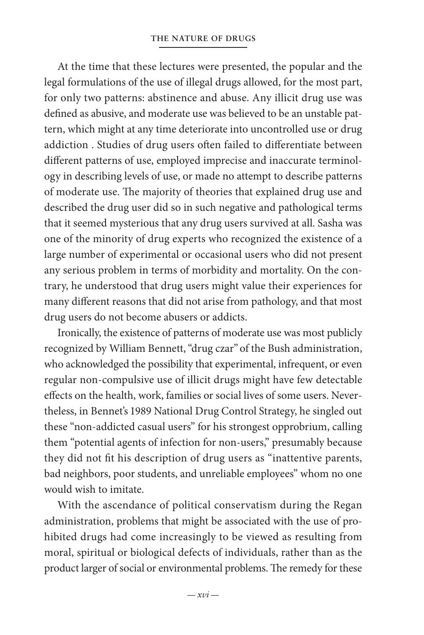At the time that these lectures were presented, the popular and the legal formulations of the use of illegal drugs allowed, for the most part, for only two patterns: abstinence and abuse. Any illicit drug use was defined as abusive, and moderate use was believed to be an unstable pattern, which might at any time deteriorate into uncontrolled use or drug addiction . Studies of drug users often failed to differentiate between different patterns of use, employed imprecise and inaccurate terminology in describing levels of use, or made no attempt to describe patterns of moderate use. The majority of theories that explained drug use and described the drug user did so in such negative and pathological terms that it seemed mysterious that any drug users survived at all. Sasha was one of the minority of drug experts who recognized the existence of a large number of experimental or occasional users who did not present any serious problem in terms of morbidity and mortality. On the contrary, he understood that drug users might value their experiences for many different reasons that did not arise from pathology, and that most drug users do not become abusers or addicts.

Ironically, the existence of patterns of moderate use was most publicly recognized by William Bennett, "drug czar" of the Bush administration, who acknowledged the possibility that experimental, infrequent, or even regular non-compulsive use of illicit drugs might have few detectable effects on the health, work, families or social lives of some users. Nevertheless, in Bennet's 1989 National Drug Control Strategy, he singled out these "non-addicted casual users" for his strongest opprobrium, calling them "potential agents of infection for non-users," presumably because they did not fit his description of drug users as "inattentive parents, bad neighbors, poor students, and unreliable employees" whom no one would wish to imitate.

With the ascendance of political conservatism during the Regan administration, problems that might be associated with the use of prohibited drugs had come increasingly to be viewed as resulting from moral, spiritual or biological defects of individuals, rather than as the product larger of social or environmental problems. The remedy for these

 $-xvi$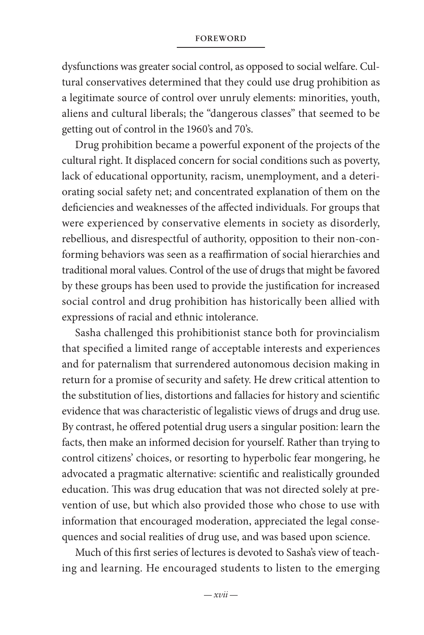#### **FOREWORD**

dysfunctions was greater social control, as opposed to social welfare. Cultural conservatives determined that they could use drug prohibition as a legitimate source of control over unruly elements: minorities, youth, aliens and cultural liberals; the "dangerous classes" that seemed to be getting out of control in the 1960's and 70's.

Drug prohibition became a powerful exponent of the projects of the cultural right. It displaced concern for social conditions such as poverty, lack of educational opportunity, racism, unemployment, and a deteriorating social safety net; and concentrated explanation of them on the deficiencies and weaknesses of the affected individuals. For groups that were experienced by conservative elements in society as disorderly, rebellious, and disrespectful of authority, opposition to their non-conforming behaviors was seen as a reaffirmation of social hierarchies and traditional moral values. Control of the use of drugs that might be favored by these groups has been used to provide the justification for increased social control and drug prohibition has historically been allied with expressions of racial and ethnic intolerance.

Sasha challenged this prohibitionist stance both for provincialism that specified a limited range of acceptable interests and experiences and for paternalism that surrendered autonomous decision making in return for a promise of security and safety. He drew critical attention to the substitution of lies, distortions and fallacies for history and scientific evidence that was characteristic of legalistic views of drugs and drug use. By contrast, he offered potential drug users a singular position: learn the facts, then make an informed decision for yourself. Rather than trying to control citizens' choices, or resorting to hyperbolic fear mongering, he advocated a pragmatic alternative: scientific and realistically grounded education. This was drug education that was not directed solely at prevention of use, but which also provided those who chose to use with information that encouraged moderation, appreciated the legal consequences and social realities of drug use, and was based upon science.

Much of this first series of lectures is devoted to Sasha's view of teaching and learning. He encouraged students to listen to the emerging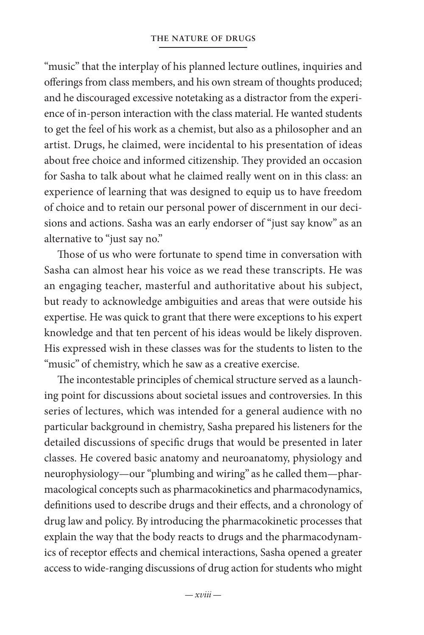"music" that the interplay of his planned lecture outlines, inquiries and offerings from class members, and his own stream of thoughts produced; and he discouraged excessive notetaking as a distractor from the experience of in-person interaction with the class material. He wanted students to get the feel of his work as a chemist, but also as a philosopher and an artist. Drugs, he claimed, were incidental to his presentation of ideas about free choice and informed citizenship. They provided an occasion for Sasha to talk about what he claimed really went on in this class: an experience of learning that was designed to equip us to have freedom of choice and to retain our personal power of discernment in our decisions and actions. Sasha was an early endorser of "just say know" as an alternative to "just say no."

Those of us who were fortunate to spend time in conversation with Sasha can almost hear his voice as we read these transcripts. He was an engaging teacher, masterful and authoritative about his subject, but ready to acknowledge ambiguities and areas that were outside his expertise. He was quick to grant that there were exceptions to his expert knowledge and that ten percent of his ideas would be likely disproven. His expressed wish in these classes was for the students to listen to the "music" of chemistry, which he saw as a creative exercise.

The incontestable principles of chemical structure served as a launching point for discussions about societal issues and controversies. In this series of lectures, which was intended for a general audience with no particular background in chemistry, Sasha prepared his listeners for the detailed discussions of specific drugs that would be presented in later classes. He covered basic anatomy and neuroanatomy, physiology and neurophysiology—our "plumbing and wiring" as he called them—pharmacological concepts such as pharmacokinetics and pharmacodynamics, definitions used to describe drugs and their effects, and a chronology of drug law and policy. By introducing the pharmacokinetic processes that explain the way that the body reacts to drugs and the pharmacodynamics of receptor effects and chemical interactions, Sasha opened a greater access to wide-ranging discussions of drug action for students who might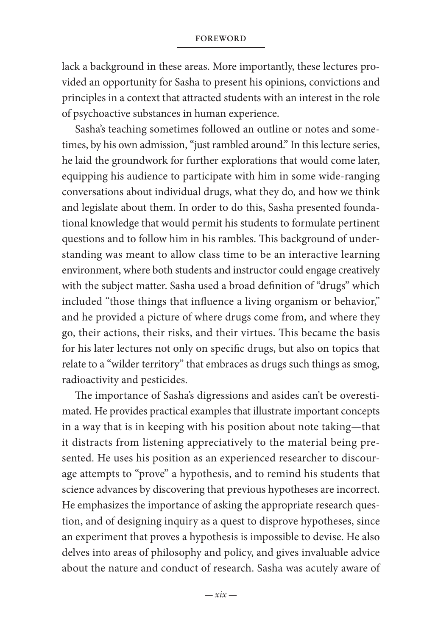lack a background in these areas. More importantly, these lectures provided an opportunity for Sasha to present his opinions, convictions and principles in a context that attracted students with an interest in the role of psychoactive substances in human experience.

Sasha's teaching sometimes followed an outline or notes and sometimes, by his own admission, "just rambled around." In this lecture series, he laid the groundwork for further explorations that would come later, equipping his audience to participate with him in some wide-ranging conversations about individual drugs, what they do, and how we think and legislate about them. In order to do this, Sasha presented foundational knowledge that would permit his students to formulate pertinent questions and to follow him in his rambles. This background of understanding was meant to allow class time to be an interactive learning environment, where both students and instructor could engage creatively with the subject matter. Sasha used a broad definition of "drugs" which included "those things that influence a living organism or behavior," and he provided a picture of where drugs come from, and where they go, their actions, their risks, and their virtues. This became the basis for his later lectures not only on specific drugs, but also on topics that relate to a "wilder territory" that embraces as drugs such things as smog, radioactivity and pesticides.

The importance of Sasha's digressions and asides can't be overestimated. He provides practical examples that illustrate important concepts in a way that is in keeping with his position about note taking—that it distracts from listening appreciatively to the material being presented. He uses his position as an experienced researcher to discourage attempts to "prove" a hypothesis, and to remind his students that science advances by discovering that previous hypotheses are incorrect. He emphasizes the importance of asking the appropriate research question, and of designing inquiry as a quest to disprove hypotheses, since an experiment that proves a hypothesis is impossible to devise. He also delves into areas of philosophy and policy, and gives invaluable advice about the nature and conduct of research. Sasha was acutely aware of

 $\frac{-\dot{x} - \dot{x}}{x}$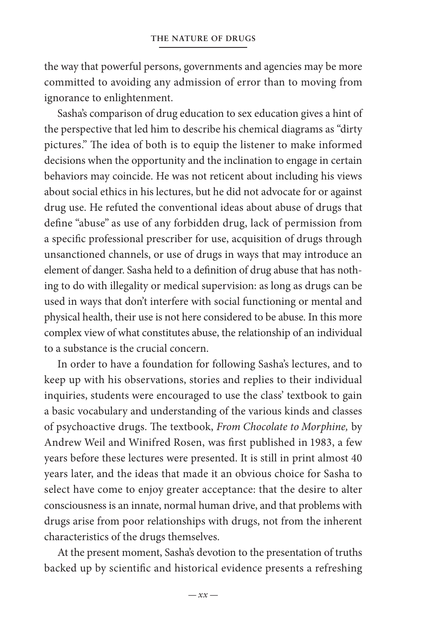the way that powerful persons, governments and agencies may be more committed to avoiding any admission of error than to moving from ignorance to enlightenment.

Sasha's comparison of drug education to sex education gives a hint of the perspective that led him to describe his chemical diagrams as "dirty pictures." The idea of both is to equip the listener to make informed decisions when the opportunity and the inclination to engage in certain behaviors may coincide. He was not reticent about including his views about social ethics in his lectures, but he did not advocate for or against drug use. He refuted the conventional ideas about abuse of drugs that define "abuse" as use of any forbidden drug, lack of permission from a specific professional prescriber for use, acquisition of drugs through unsanctioned channels, or use of drugs in ways that may introduce an element of danger. Sasha held to a definition of drug abuse that has nothing to do with illegality or medical supervision: as long as drugs can be used in ways that don't interfere with social functioning or mental and physical health, their use is not here considered to be abuse. In this more complex view of what constitutes abuse, the relationship of an individual to a substance is the crucial concern.

In order to have a foundation for following Sasha's lectures, and to keep up with his observations, stories and replies to their individual inquiries, students were encouraged to use the class' textbook to gain a basic vocabulary and understanding of the various kinds and classes of psychoactive drugs. The textbook, *From Chocolate to Morphine*, by Andrew Weil and Winifred Rosen, was first published in 1983, a few years before these lectures were presented. It is still in print almost 40 years later, and the ideas that made it an obvious choice for Sasha to select have come to enjoy greater acceptance: that the desire to alter consciousness is an innate, normal human drive, and that problems with drugs arise from poor relationships with drugs, not from the inherent characteristics of the drugs themselves.

At the present moment, Sasha's devotion to the presentation of truths backed up by scientific and historical evidence presents a refreshing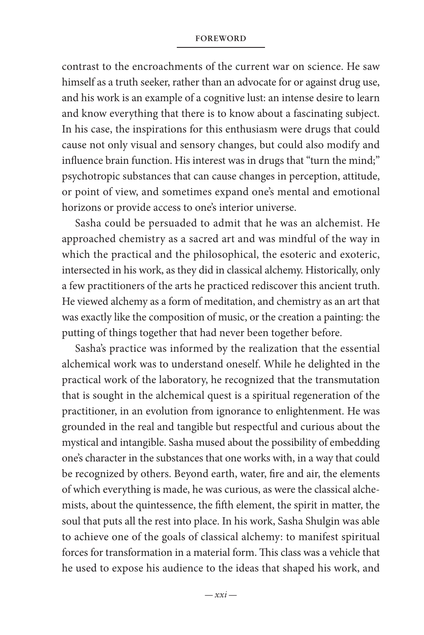#### **FOREWORD**

contrast to the encroachments of the current war on science. He saw himself as a truth seeker, rather than an advocate for or against drug use, and his work is an example of a cognitive lust: an intense desire to learn and know everything that there is to know about a fascinating subject. In his case, the inspirations for this enthusiasm were drugs that could cause not only visual and sensory changes, but could also modify and influence brain function. His interest was in drugs that "turn the mind;" psychotropic substances that can cause changes in perception, attitude, or point of view, and sometimes expand one's mental and emotional horizons or provide access to one's interior universe.

Sasha could be persuaded to admit that he was an alchemist. He approached chemistry as a sacred art and was mindful of the way in which the practical and the philosophical, the esoteric and exoteric, intersected in his work, as they did in classical alchemy. Historically, only a few practitioners of the arts he practiced rediscover this ancient truth. He viewed alchemy as a form of meditation, and chemistry as an art that was exactly like the composition of music, or the creation a painting: the putting of things together that had never been together before.

Sasha's practice was informed by the realization that the essential alchemical work was to understand oneself. While he delighted in the practical work of the laboratory, he recognized that the transmutation that is sought in the alchemical quest is a spiritual regeneration of the practitioner, in an evolution from ignorance to enlightenment. He was grounded in the real and tangible but respectful and curious about the mystical and intangible. Sasha mused about the possibility of embedding one's character in the substances that one works with, in a way that could be recognized by others. Beyond earth, water, fire and air, the elements of which everything is made, he was curious, as were the classical alchemists, about the quintessence, the fifth element, the spirit in matter, the soul that puts all the rest into place. In his work, Sasha Shulgin was able to achieve one of the goals of classical alchemy: to manifest spiritual forces for transformation in a material form. This class was a vehicle that he used to expose his audience to the ideas that shaped his work, and

 $-$ *xxi* —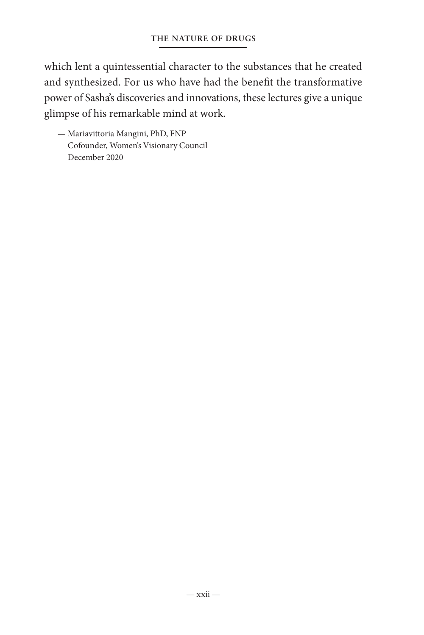which lent a quintessential character to the substances that he created and synthesized. For us who have had the benefit the transformative power of Sasha's discoveries and innovations, these lectures give a unique glimpse of his remarkable mind at work.

— Mariavittoria Mangini, PhD, FNP Cofounder, Women's Visionary Council December 2020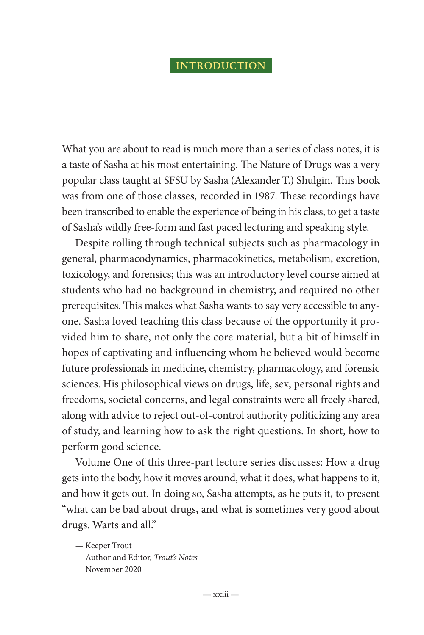#### **INTRODUCTION**

What you are about to read is much more than a series of class notes, it is a taste of Sasha at his most entertaining. The Nature of Drugs was a very popular class taught at SFSU by Sasha (Alexander T.) Shulgin. This book was from one of those classes, recorded in 1987. These recordings have been transcribed to enable the experience of being in his class, to get a taste of Sasha's wildly free-form and fast paced lecturing and speaking style.

Despite rolling through technical subjects such as pharmacology in general, pharmacodynamics, pharmacokinetics, metabolism, excretion, toxicology, and forensics; this was an introductory level course aimed at students who had no background in chemistry, and required no other prerequisites. This makes what Sasha wants to say very accessible to anyone. Sasha loved teaching this class because of the opportunity it provided him to share, not only the core material, but a bit of himself in hopes of captivating and influencing whom he believed would become future professionals in medicine, chemistry, pharmacology, and forensic sciences. His philosophical views on drugs, life, sex, personal rights and freedoms, societal concerns, and legal constraints were all freely shared, along with advice to reject out-of-control authority politicizing any area of study, and learning how to ask the right questions. In short, how to perform good science.

Volume One of this three-part lecture series discusses: How a drug gets into the body, how it moves around, what it does, what happens to it, and how it gets out. In doing so, Sasha attempts, as he puts it, to present "what can be bad about drugs, and what is sometimes very good about drugs. Warts and all."

— Keeper Trout Author and Editor, *Trout's Notes* November 2020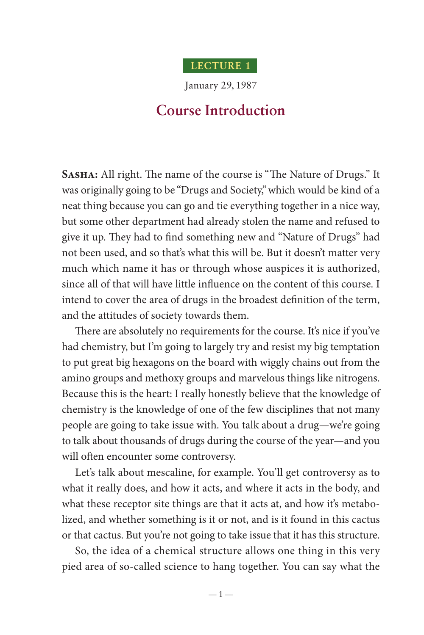

January 29, 1987

# **Course Introduction**

SASHA: All right. The name of the course is "The Nature of Drugs." It was originally going to be "Drugs and Society," which would be kind of a neat thing because you can go and tie everything together in a nice way, but some other department had already stolen the name and refused to give it up. They had to find something new and "Nature of Drugs" had not been used, and so that's what this will be. But it doesn't matter very much which name it has or through whose auspices it is authorized, since all of that will have little influence on the content of this course. I intend to cover the area of drugs in the broadest definition of the term, and the attitudes of society towards them.

There are absolutely no requirements for the course. It's nice if you've had chemistry, but I'm going to largely try and resist my big temptation to put great big hexagons on the board with wiggly chains out from the amino groups and methoxy groups and marvelous things like nitrogens. Because this is the heart: I really honestly believe that the knowledge of chemistry is the knowledge of one of the few disciplines that not many people are going to take issue with. You talk about a drug—we're going to talk about thousands of drugs during the course of the year—and you will often encounter some controversy.

Let's talk about mescaline, for example. You'll get controversy as to what it really does, and how it acts, and where it acts in the body, and what these receptor site things are that it acts at, and how it's metabolized, and whether something is it or not, and is it found in this cactus or that cactus. But you're not going to take issue that it has this structure.

So, the idea of a chemical structure allows one thing in this very pied area of so-called science to hang together. You can say what the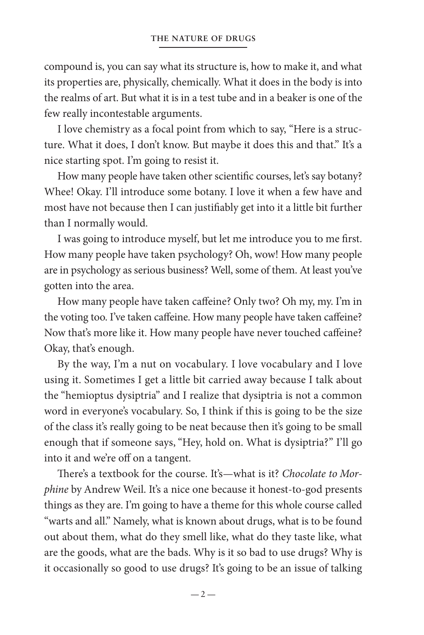compound is, you can say what its structure is, how to make it, and what its properties are, physically, chemically. What it does in the body is into the realms of art. But what it is in a test tube and in a beaker is one of the few really incontestable arguments.

I love chemistry as a focal point from which to say, "Here is a structure. What it does, I don't know. But maybe it does this and that." It's a nice starting spot. I'm going to resist it.

How many people have taken other scientific courses, let's say botany? Whee! Okay. I'll introduce some botany. I love it when a few have and most have not because then I can justifiably get into it a little bit further than I normally would.

I was going to introduce myself, but let me introduce you to me first. How many people have taken psychology? Oh, wow! How many people are in psychology as serious business? Well, some of them. At least you've gotten into the area.

How many people have taken caffeine? Only two? Oh my, my. I'm in the voting too. I've taken caffeine. How many people have taken caffeine? Now that's more like it. How many people have never touched caffeine? Okay, that's enough.

By the way, I'm a nut on vocabulary. I love vocabulary and I love using it. Sometimes I get a little bit carried away because I talk about the "hemioptus dysiptria" and I realize that dysiptria is not a common word in everyone's vocabulary. So, I think if this is going to be the size of the class it's really going to be neat because then it's going to be small enough that if someone says, "Hey, hold on. What is dysiptria?" I'll go into it and we're off on a tangent.

There's a textbook for the course. It's-what is it? *Chocolate to Morphine* by Andrew Weil. It's a nice one because it honest-to-god presents things as they are. I'm going to have a theme for this whole course called "warts and all." Namely, what is known about drugs, what is to be found out about them, what do they smell like, what do they taste like, what are the goods, what are the bads. Why is it so bad to use drugs? Why is it occasionally so good to use drugs? It's going to be an issue of talking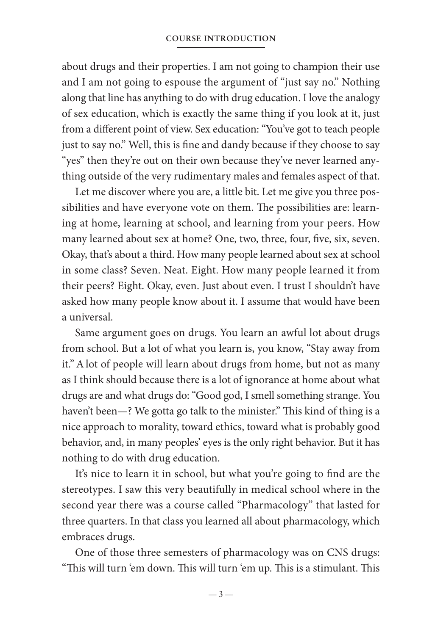#### **COURSE INTRODUCTION**

about drugs and their properties. I am not going to champion their use and I am not going to espouse the argument of "just say no." Nothing along that line has anything to do with drug education. I love the analogy of sex education, which is exactly the same thing if you look at it, just from a different point of view. Sex education: "You've got to teach people just to say no." Well, this is fine and dandy because if they choose to say "yes" then they're out on their own because they've never learned anything outside of the very rudimentary males and females aspect of that.

Let me discover where you are, a little bit. Let me give you three possibilities and have everyone vote on them. The possibilities are: learning at home, learning at school, and learning from your peers. How many learned about sex at home? One, two, three, four, five, six, seven. Okay, that's about a third. How many people learned about sex at school in some class? Seven. Neat. Eight. How many people learned it from their peers? Eight. Okay, even. Just about even. I trust I shouldn't have asked how many people know about it. I assume that would have been a universal.

Same argument goes on drugs. You learn an awful lot about drugs from school. But a lot of what you learn is, you know, "Stay away from it." A lot of people will learn about drugs from home, but not as many as I think should because there is a lot of ignorance at home about what drugs are and what drugs do: "Good god, I smell something strange. You haven't been—? We gotta go talk to the minister." This kind of thing is a nice approach to morality, toward ethics, toward what is probably good behavior, and, in many peoples' eyes is the only right behavior. But it has nothing to do with drug education.

It's nice to learn it in school, but what you're going to find are the stereotypes. I saw this very beautifully in medical school where in the second year there was a course called "Pharmacology" that lasted for three quarters. In that class you learned all about pharmacology, which embraces drugs.

One of those three semesters of pharmacology was on CNS drugs: "This will turn 'em down. This will turn 'em up. This is a stimulant. This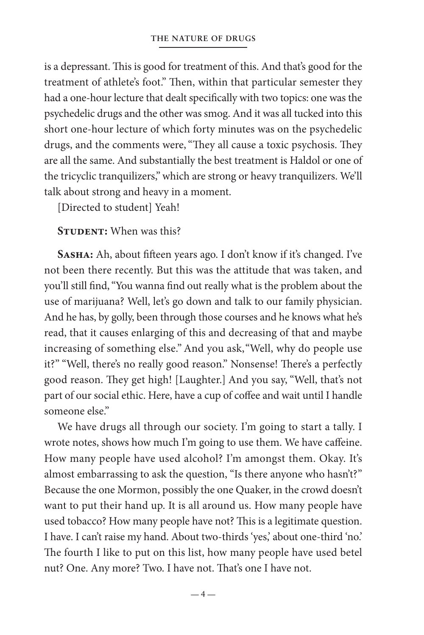is a depressant. This is good for treatment of this. And that's good for the treatment of athlete's foot." Then, within that particular semester they had a one-hour lecture that dealt specifically with two topics: one was the psychedelic drugs and the other was smog. And it was all tucked into this short one-hour lecture of which forty minutes was on the psychedelic drugs, and the comments were, "They all cause a toxic psychosis. They are all the same. And substantially the best treatment is Haldol or one of the tricyclic tranquilizers," which are strong or heavy tranquilizers. We'll talk about strong and heavy in a moment.

[Directed to student] Yeah!

**STUDENT:** When was this?

SASHA: Ah, about fifteen years ago. I don't know if it's changed. I've not been there recently. But this was the attitude that was taken, and you'll still find, "You wanna find out really what is the problem about the use of marijuana? Well, let's go down and talk to our family physician. And he has, by golly, been through those courses and he knows what he's read, that it causes enlarging of this and decreasing of that and maybe increasing of something else." And you ask, "Well, why do people use it?" "Well, there's no really good reason." Nonsense! There's a perfectly good reason. They get high! [Laughter.] And you say, "Well, that's not part of our social ethic. Here, have a cup of coffee and wait until I handle someone else."

We have drugs all through our society. I'm going to start a tally. I wrote notes, shows how much I'm going to use them. We have caffeine. How many people have used alcohol? I'm amongst them. Okay. It's almost embarrassing to ask the question, "Is there anyone who hasn't?" Because the one Mormon, possibly the one Quaker, in the crowd doesn't want to put their hand up. It is all around us. How many people have used tobacco? How many people have not? This is a legitimate question. I have. I can't raise my hand. About two-thirds 'yes,' about one-third 'no.' The fourth I like to put on this list, how many people have used betel nut? One. Any more? Two. I have not. That's one I have not.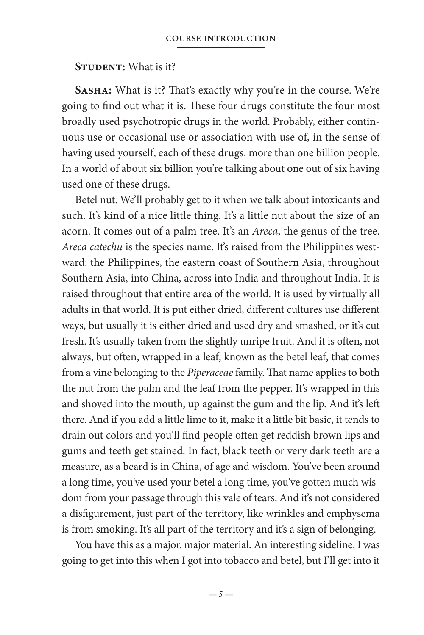#### **STUDENT:** What is it?

SASHA: What is it? That's exactly why you're in the course. We're going to find out what it is. These four drugs constitute the four most broadly used psychotropic drugs in the world. Probably, either continuous use or occasional use or association with use of, in the sense of having used yourself, each of these drugs, more than one billion people. In a world of about six billion you're talking about one out of six having used one of these drugs.

Betel nut. We'll probably get to it when we talk about intoxicants and such. It's kind of a nice little thing. It's a little nut about the size of an acorn. It comes out of a palm tree. It's an *Areca*, the genus of the tree. *Areca catechu* is the species name. It's raised from the Philippines westward: the Philippines, the eastern coast of Southern Asia, throughout Southern Asia, into China, across into India and throughout India. It is raised throughout that entire area of the world. It is used by virtually all adults in that world. It is put either dried, different cultures use different ways, but usually it is either dried and used dry and smashed, or it's cut fresh. It's usually taken from the slightly unripe fruit. And it is often, not always, but often, wrapped in a leaf, known as the betel leaf, that comes from a vine belonging to the *Piperaceae* family. That name applies to both the nut from the palm and the leaf from the pepper. It's wrapped in this and shoved into the mouth, up against the gum and the lip. And it's left there. And if you add a little lime to it, make it a little bit basic, it tends to drain out colors and you'll find people often get reddish brown lips and gums and teeth get stained. In fact, black teeth or very dark teeth are a measure, as a beard is in China, of age and wisdom. You've been around a long time, you've used your betel a long time, you've gotten much wisdom from your passage through this vale of tears. And it's not considered a disfigurement, just part of the territory, like wrinkles and emphysema is from smoking. It's all part of the territory and it's a sign of belonging.

You have this as a major, major material. An interesting sideline, I was going to get into this when I got into tobacco and betel, but I'll get into it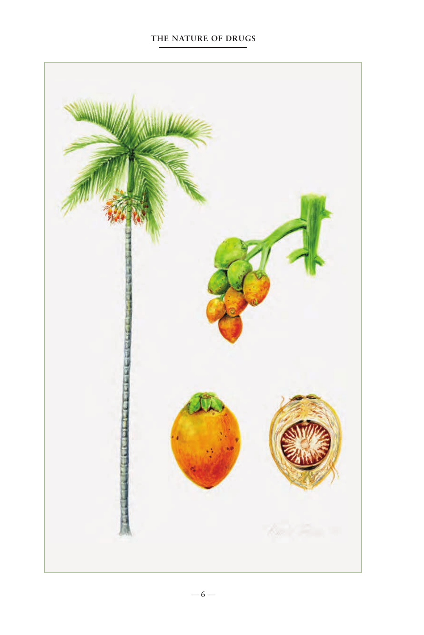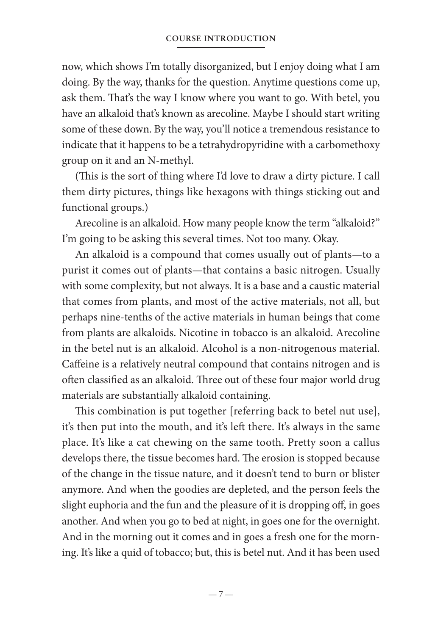now, which shows I'm totally disorganized, but I enjoy doing what I am doing. By the way, thanks for the question. Anytime questions come up, ask them. That's the way I know where you want to go. With betel, you have an alkaloid that's known as arecoline. Maybe I should start writing some of these down. By the way, you'll notice a tremendous resistance to indicate that it happens to be a tetrahydropyridine with a carbomethoxy group on it and an N-methyl.

(This is the sort of thing where I'd love to draw a dirty picture. I call them dirty pictures, things like hexagons with things sticking out and functional groups.)

Arecoline is an alkaloid. How many people know the term "alkaloid?" I'm going to be asking this several times. Not too many. Okay.

An alkaloid is a compound that comes usually out of plants—to a purist it comes out of plants—that contains a basic nitrogen. Usually with some complexity, but not always. It is a base and a caustic material that comes from plants, and most of the active materials, not all, but perhaps nine-tenths of the active materials in human beings that come from plants are alkaloids. Nicotine in tobacco is an alkaloid. Arecoline in the betel nut is an alkaloid. Alcohol is a non-nitrogenous material. Caffeine is a relatively neutral compound that contains nitrogen and is often classified as an alkaloid. Three out of these four major world drug materials are substantially alkaloid containing.

This combination is put together [referring back to betel nut use], it's then put into the mouth, and it's left there. It's always in the same place. It's like a cat chewing on the same tooth. Pretty soon a callus develops there, the tissue becomes hard. The erosion is stopped because of the change in the tissue nature, and it doesn't tend to burn or blister anymore. And when the goodies are depleted, and the person feels the slight euphoria and the fun and the pleasure of it is dropping off, in goes another. And when you go to bed at night, in goes one for the overnight. And in the morning out it comes and in goes a fresh one for the morning. It's like a quid of tobacco; but, this is betel nut. And it has been used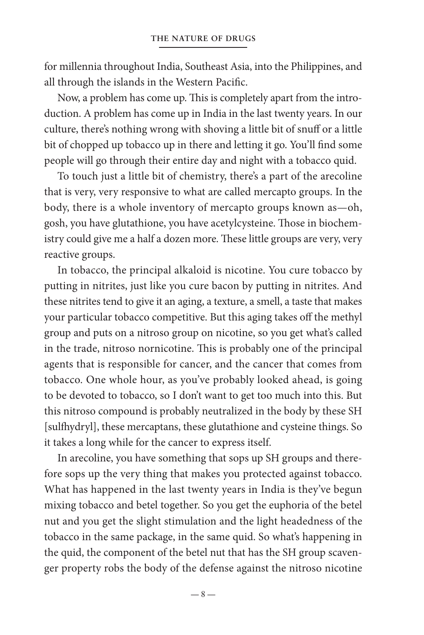for millennia throughout India, Southeast Asia, into the Philippines, and all through the islands in the Western Pacific.

Now, a problem has come up. This is completely apart from the introduction. A problem has come up in India in the last twenty years. In our culture, there's nothing wrong with shoving a little bit of snuff or a little bit of chopped up tobacco up in there and letting it go. You'll find some people will go through their entire day and night with a tobacco quid.

To touch just a little bit of chemistry, there's a part of the arecoline that is very, very responsive to what are called mercapto groups. In the body, there is a whole inventory of mercapto groups known as—oh, gosh, you have glutathione, you have acetylcysteine. Those in biochemistry could give me a half a dozen more. These little groups are very, very reactive groups.

In tobacco, the principal alkaloid is nicotine. You cure tobacco by putting in nitrites, just like you cure bacon by putting in nitrites. And these nitrites tend to give it an aging, a texture, a smell, a taste that makes your particular tobacco competitive. But this aging takes off the methyl group and puts on a nitroso group on nicotine, so you get what's called in the trade, nitroso nornicotine. This is probably one of the principal agents that is responsible for cancer, and the cancer that comes from tobacco. One whole hour, as you've probably looked ahead, is going to be devoted to tobacco, so I don't want to get too much into this. But this nitroso compound is probably neutralized in the body by these SH [sulfhydryl], these mercaptans, these glutathione and cysteine things. So it takes a long while for the cancer to express itself.

In arecoline, you have something that sops up SH groups and therefore sops up the very thing that makes you protected against tobacco. What has happened in the last twenty years in India is they've begun mixing tobacco and betel together. So you get the euphoria of the betel nut and you get the slight stimulation and the light headedness of the tobacco in the same package, in the same quid. So what's happening in the quid, the component of the betel nut that has the SH group scavenger property robs the body of the defense against the nitroso nicotine